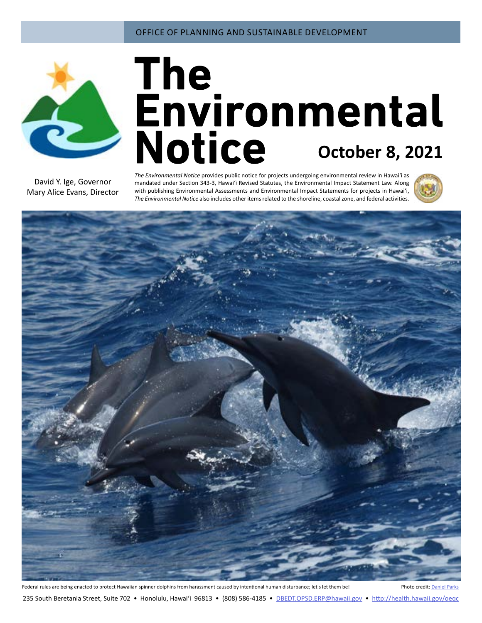

# **October 8, 2021**

David Y. Ige, Governor Mary Alice Evans, Director

*The Environmental Notice* provides public notice for projects undergoing environmental review in Hawaiʻi as mandated under Section 343-3, Hawaiʻi Revised Statutes, the Environmental Impact Statement Law. Along with publishing Environmental Assessments and Environmental Impact Statements for projects in Hawai'i, *The Environmental Notice* also includes other items related to the shoreline, coastal zone, and federal activities.





235 South Beretania Street, Suite 702 • Honolulu, Hawai'i 96813 • (808) 586-4185 • DBEDT.OPSD.ERP[@hawaii.gov](mailto:oeqchawaii%40doh.hawaii.gov?subject=) • <http://health.hawaii.gov/oeqc>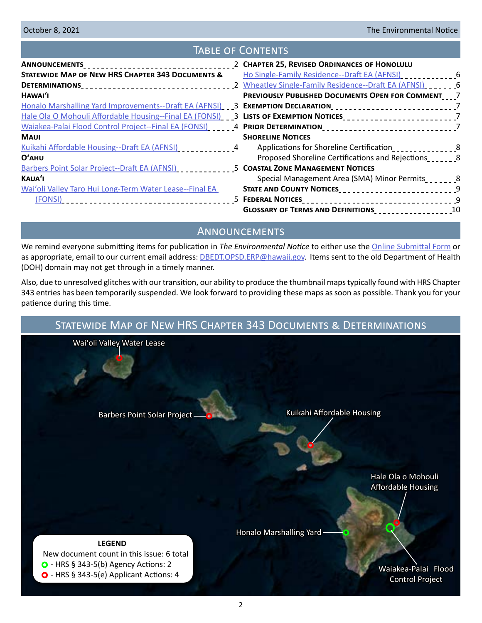# Table of Contents

|                                                                                                                    | 2 CHAPTER 25, REVISED ORDINANCES OF HONOLULU             |  |
|--------------------------------------------------------------------------------------------------------------------|----------------------------------------------------------|--|
| <b>STATEWIDE MAP OF NEW HRS CHAPTER 343 DOCUMENTS &amp;</b>                                                        | Ho Single-Family Residence--Draft EA (AFNSI)             |  |
| DETERMINATIONS___________________________________                                                                  | 2 Wheatley Single-Family Residence--Draft EA (AFNSI)     |  |
| HAWAI'I                                                                                                            | <b>PREVIOUSLY PUBLISHED DOCUMENTS OPEN FOR COMMENT 7</b> |  |
| Honalo Marshalling Yard Improvements--Draft EA (AFNSI) ___ 3 EXEMPTION DECLARATION____________________________7    |                                                          |  |
|                                                                                                                    |                                                          |  |
| Waiakea-Palai Flood Control Project--Final EA (FONSI) ______4 PRIOR DETERMINATION________________________________7 |                                                          |  |
| <b>MAUI</b>                                                                                                        | <b>SHORELINE NOTICES</b>                                 |  |
| Kuikahi Affordable Housing--Draft EA (AFNSI)                                                                       | Applications for Shoreline Certification                 |  |
| $O'$ AHU                                                                                                           | Proposed Shoreline Certifications and Rejections         |  |
| Barbers Point Solar Project--Draft EA (AFNSI)                                                                      | <b>5 COASTAL ZONE MANAGEMENT NOTICES</b>                 |  |
| KAUA'I                                                                                                             | Special Management Area (SMA) Minor Permits_______8      |  |
| Wai'oli Valley Taro Hui Long-Term Water Lease--Final EA                                                            | STATE AND COUNTY NOTICES <b>STATE AND COUNTY NOTICES</b> |  |
|                                                                                                                    |                                                          |  |
|                                                                                                                    | GLOSSARY OF TERMS AND DEFINITIONS<br>10                  |  |

# Announcements

We remind everyone submitting items for publication in *The Environmental Notice* to either use the [Online Submittal Form](https://health.hawaii.gov/oeqc/submittal-form/) or as appropriate, email to our current email address: [DBEDT.OPSD.ERP@hawaii.gov.](mailto:DBEDT.OPSD.ERP%40hawaii.gov?subject=) Items sent to the old Department of Health (DOH) domain may not get through in a timely manner.

Also, due to unresolved glitches with our transition, our ability to produce the thumbnail maps typically found with HRS Chapter 343 entries has been temporarily suspended. We look forward to providing these maps as soon as possible. Thank you for your patience during this time.

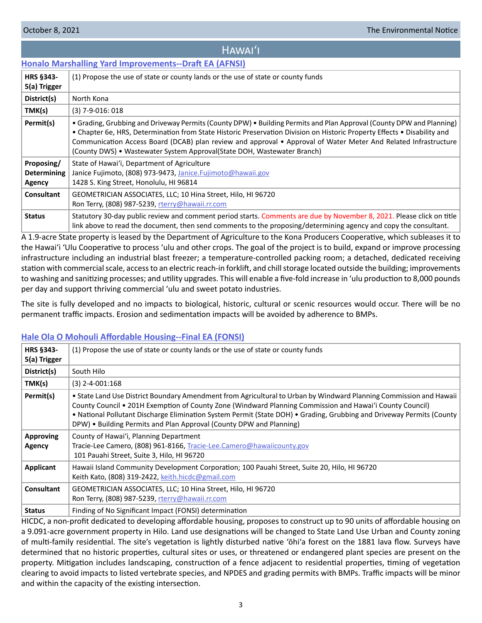# Hawaiʻi

# <span id="page-2-0"></span>**[Honalo Marshalling Yard Improvements--Draft EA \(AFNSI\)](http://oeqc2.doh.hawaii.gov/Doc_Library/2021-10-08-HA-DEA-Honalo-Marshalling-Yard-Improvements.pdf)**

| HRS §343-<br>5(a) Trigger                  | (1) Propose the use of state or county lands or the use of state or county funds                                                                                                                                                                                                                                                                                                                                                                |
|--------------------------------------------|-------------------------------------------------------------------------------------------------------------------------------------------------------------------------------------------------------------------------------------------------------------------------------------------------------------------------------------------------------------------------------------------------------------------------------------------------|
| District(s)                                | North Kona                                                                                                                                                                                                                                                                                                                                                                                                                                      |
| TMK(s)                                     | $(3)$ 7-9-016: 018                                                                                                                                                                                                                                                                                                                                                                                                                              |
| Permit(s)                                  | • Grading, Grubbing and Driveway Permits (County DPW) • Building Permits and Plan Approval (County DPW and Planning)<br>• Chapter 6e, HRS, Determination from State Historic Preservation Division on Historic Property Effects • Disability and<br>Communication Access Board (DCAB) plan review and approval • Approval of Water Meter And Related Infrastructure<br>(County DWS) • Wastewater System Approval (State DOH, Wastewater Branch) |
| Proposing/<br><b>Determining</b><br>Agency | State of Hawai'i, Department of Agriculture<br>Janice Fujimoto, (808) 973-9473, Janice. Fujimoto@hawaii.gov<br>1428 S. King Street, Honolulu, HI 96814                                                                                                                                                                                                                                                                                          |
| Consultant                                 | GEOMETRICIAN ASSOCIATES, LLC; 10 Hina Street, Hilo, HI 96720<br>Ron Terry, (808) 987-5239, rterry@hawaii.rr.com                                                                                                                                                                                                                                                                                                                                 |
| <b>Status</b>                              | Statutory 30-day public review and comment period starts. Comments are due by November 8, 2021. Please click on title<br>link above to read the document, then send comments to the proposing/determining agency and copy the consultant.                                                                                                                                                                                                       |

A 1.9-acre State property is leased by the Department of Agriculture to the Kona Producers Cooperative, which subleases it to the Hawai'i 'Ulu Cooperative to process 'ulu and other crops. The goal of the project is to build, expand or improve processing infrastructure including an industrial blast freezer; a temperature-controlled packing room; a detached, dedicated receiving station with commercial scale, access to an electric reach-in forklift, and chill storage located outside the building; improvements to washing and sanitizing processes; and utility upgrades. This will enable a five-fold increase in 'ulu production to 8,000 pounds per day and support thriving commercial 'ulu and sweet potato industries.

The site is fully developed and no impacts to biological, historic, cultural or scenic resources would occur. There will be no permanent traffic impacts. Erosion and sedimentation impacts will be avoided by adherence to BMPs.

# **[Hale Ola O Mohouli Affordable Housing--Final EA \(FONSI\)](http://oeqc2.doh.hawaii.gov/Doc_Library/2021-10-08-HA-FEA-Hale-Ola-O-Mohouli-Affordable-Housing.pdf)**

| <b>HRS §343-</b><br>5(a) Trigger | (1) Propose the use of state or county lands or the use of state or county funds                                                                                                                                                                                                                                                                                                                                               |
|----------------------------------|--------------------------------------------------------------------------------------------------------------------------------------------------------------------------------------------------------------------------------------------------------------------------------------------------------------------------------------------------------------------------------------------------------------------------------|
| District(s)                      | South Hilo                                                                                                                                                                                                                                                                                                                                                                                                                     |
| TMK(s)                           | $(3)$ 2-4-001:168                                                                                                                                                                                                                                                                                                                                                                                                              |
| Permit(s)                        | • State Land Use District Boundary Amendment from Agricultural to Urban by Windward Planning Commission and Hawaii<br>County Council • 201H Exemption of County Zone (Windward Planning Commission and Hawai'i County Council)<br>• National Pollutant Discharge Elimination System Permit (State DOH) • Grading, Grubbing and Driveway Permits (County<br>DPW) . Building Permits and Plan Approval (County DPW and Planning) |
| <b>Approving</b><br>Agency       | County of Hawai'i, Planning Department<br>Tracie-Lee Camero, (808) 961-8166, Tracie-Lee.Camero@hawaiicounty.gov<br>101 Pauahi Street, Suite 3, Hilo, HI 96720                                                                                                                                                                                                                                                                  |
| Applicant                        | Hawaii Island Community Development Corporation; 100 Pauahi Street, Suite 20, Hilo, HI 96720<br>Keith Kato, (808) 319-2422, keith.hicdc@gmail.com                                                                                                                                                                                                                                                                              |
| <b>Consultant</b>                | GEOMETRICIAN ASSOCIATES, LLC; 10 Hina Street, Hilo, HI 96720<br>Ron Terry, (808) 987-5239, rterry@hawaii.rr.com                                                                                                                                                                                                                                                                                                                |
| <b>Status</b>                    | Finding of No Significant Impact (FONSI) determination                                                                                                                                                                                                                                                                                                                                                                         |
|                                  | HICDC a non-profit dedicated to developing affordable bousing proposes to construct up to 90 units of affordable bousing on                                                                                                                                                                                                                                                                                                    |

C, a non-profit dedicated to developing affordable housing, proposes to construct up to 90 units of affordable housing on a 9.091-acre government property in Hilo. Land use designations will be changed to State Land Use Urban and County zoning of multi-family residential. The site's vegetation is lightly disturbed native 'ōhi'a forest on the 1881 lava flow. Surveys have determined that no historic properties, cultural sites or uses, or threatened or endangered plant species are present on the property. Mitigation includes landscaping, construction of a fence adjacent to residential properties, timing of vegetation clearing to avoid impacts to listed vertebrate species, and NPDES and grading permits with BMPs. Traffic impacts will be minor and within the capacity of the existing intersection.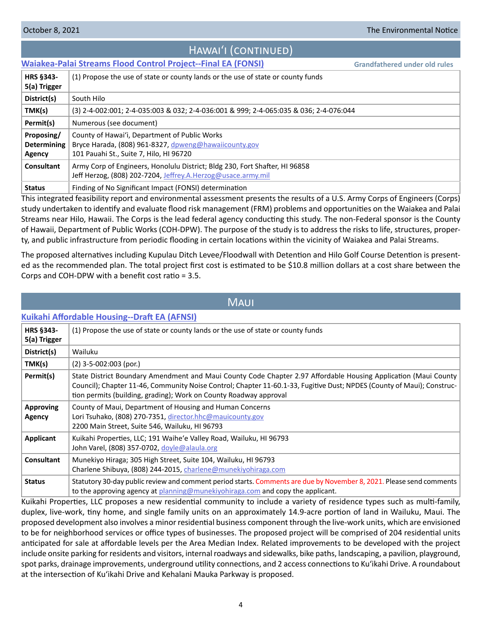# Hawaiʻi (continued)

# <span id="page-3-0"></span>**[Waiakea-Palai Streams Flood Control Project--Final EA \(FONSI\)](http://oeqc2.doh.hawaii.gov/EA_EIS_Library/2021-10-08-HA-FEA-Waiakea-Palai-Streams-Flood-Control.pdf)**

**Grandfathered under old rules**

| <b>HRS §343-</b><br>5(a) Trigger                  | (1) Propose the use of state or county lands or the use of state or county funds                                                                  |
|---------------------------------------------------|---------------------------------------------------------------------------------------------------------------------------------------------------|
| District(s)                                       | South Hilo                                                                                                                                        |
| TMK(s)                                            | (3) 2-4-002:001; 2-4-035:003 & 032; 2-4-036:001 & 999; 2-4-065:035 & 036; 2-4-076:044                                                             |
| Permit(s)                                         | Numerous (see document)                                                                                                                           |
| Proposing/<br><b>Determining</b><br><b>Agency</b> | County of Hawai'i, Department of Public Works<br>Bryce Harada, (808) 961-8327, dpweng@hawaiicounty.gov<br>101 Pauahi St., Suite 7, Hilo, HI 96720 |
| <b>Consultant</b>                                 | Army Corp of Engineers, Honolulu District; Bldg 230, Fort Shafter, HI 96858<br>Jeff Herzog, (808) 202-7204, Jeffrey.A.Herzog@usace.army.mil       |
| <b>Status</b>                                     | Finding of No Significant Impact (FONSI) determination                                                                                            |

This integrated feasibility report and environmental assessment presents the results of a U.S. Army Corps of Engineers (Corps) study undertaken to identify and evaluate flood risk management (FRM) problems and opportunities on the Waiakea and Palai Streams near Hilo, Hawaii. The Corps is the lead federal agency conducting this study. The non-Federal sponsor is the County of Hawaii, Department of Public Works (COH-DPW). The purpose of the study is to address the risks to life, structures, property, and public infrastructure from periodic flooding in certain locations within the vicinity of Waiakea and Palai Streams.

The proposed alternatives including Kupulau Ditch Levee/Floodwall with Detention and Hilo Golf Course Detention is presented as the recommended plan. The total project first cost is estimated to be \$10.8 million dollars at a cost share between the Corps and COH-DPW with a benefit cost ratio = 3.5.

| <b>MAUI</b>                       |                                                                                                                                                                                                                                                                                                                |  |  |  |
|-----------------------------------|----------------------------------------------------------------------------------------------------------------------------------------------------------------------------------------------------------------------------------------------------------------------------------------------------------------|--|--|--|
|                                   | <b>Kuikahi Affordable Housing--Draft EA (AFNSI)</b>                                                                                                                                                                                                                                                            |  |  |  |
| <b>HRS §343-</b><br>5(a) Trigger  | (1) Propose the use of state or county lands or the use of state or county funds                                                                                                                                                                                                                               |  |  |  |
| District(s)                       | Wailuku                                                                                                                                                                                                                                                                                                        |  |  |  |
| TMK(s)                            | $(2)$ 3-5-002:003 (por.)                                                                                                                                                                                                                                                                                       |  |  |  |
| Permit(s)                         | State District Boundary Amendment and Maui County Code Chapter 2.97 Affordable Housing Application (Maui County<br>Council); Chapter 11-46, Community Noise Control; Chapter 11-60.1-33, Fugitive Dust; NPDES (County of Maui); Construc-<br>tion permits (building, grading); Work on County Roadway approval |  |  |  |
| <b>Approving</b><br><b>Agency</b> | County of Maui, Department of Housing and Human Concerns<br>Lori Tsuhako, (808) 270-7351, director.hhc@mauicounty.gov<br>2200 Main Street, Suite 546, Wailuku, HI 96793                                                                                                                                        |  |  |  |
| <b>Applicant</b>                  | Kuikahi Properties, LLC; 191 Waihe'e Valley Road, Wailuku, HI 96793<br>John Varel, (808) 357-0702, doyle@alaula.org                                                                                                                                                                                            |  |  |  |
| <b>Consultant</b>                 | Munekiyo Hiraga; 305 High Street, Suite 104, Wailuku, HI 96793<br>Charlene Shibuya, (808) 244-2015, charlene@munekiyohiraga.com                                                                                                                                                                                |  |  |  |
| <b>Status</b>                     | Statutory 30-day public review and comment period starts. Comments are due by November 8, 2021. Please send comments<br>to the approving agency at planning@munekiyohiraga.com and copy the applicant.                                                                                                         |  |  |  |

Kuikahi Properties, LLC proposes a new residential community to include a variety of residence types such as multi-family, duplex, live-work, tiny home, and single family units on an approximately 14.9-acre portion of land in Wailuku, Maui. The proposed development also involves a minor residential business component through the live-work units, which are envisioned to be for neighborhood services or office types of businesses. The proposed project will be comprised of 204 residential units anticipated for sale at affordable levels per the Area Median Index. Related improvements to be developed with the project include onsite parking for residents and visitors, internal roadways and sidewalks, bike paths, landscaping, a pavilion, playground, spot parks, drainage improvements, underground utility connections, and 2 access connections to Ku'ikahi Drive. A roundabout at the intersection of Ku'ikahi Drive and Kehalani Mauka Parkway is proposed.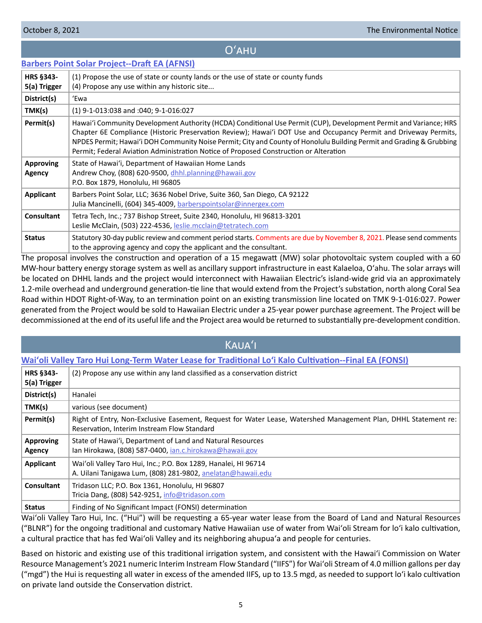# Oʻahu

<span id="page-4-0"></span>

|  |  |  | <b>Barbers Point Solar Project--Draft EA (AFNSI)</b> |  |
|--|--|--|------------------------------------------------------|--|
|--|--|--|------------------------------------------------------|--|

| <b>HRS §343-</b><br>5(a) Trigger | (1) Propose the use of state or county lands or the use of state or county funds<br>(4) Propose any use within any historic site                                                                                                                                                                                                                                                                                                                       |
|----------------------------------|--------------------------------------------------------------------------------------------------------------------------------------------------------------------------------------------------------------------------------------------------------------------------------------------------------------------------------------------------------------------------------------------------------------------------------------------------------|
| District(s)                      | 'Ewa                                                                                                                                                                                                                                                                                                                                                                                                                                                   |
| TMK(s)                           | (1) 9-1-013:038 and :040; 9-1-016:027                                                                                                                                                                                                                                                                                                                                                                                                                  |
| Permit(s)                        | Hawai'i Community Development Authority (HCDA) Conditional Use Permit (CUP), Development Permit and Variance; HRS<br>Chapter 6E Compliance (Historic Preservation Review); Hawai'i DOT Use and Occupancy Permit and Driveway Permits,<br>NPDES Permit; Hawai'i DOH Community Noise Permit; City and County of Honolulu Building Permit and Grading & Grubbing<br>Permit; Federal Aviation Administration Notice of Proposed Construction or Alteration |
| <b>Approving</b><br>Agency       | State of Hawai'i, Department of Hawaiian Home Lands<br>Andrew Choy, (808) 620-9500, dhhl.planning@hawaii.gov<br>P.O. Box 1879, Honolulu, HI 96805                                                                                                                                                                                                                                                                                                      |
| <b>Applicant</b>                 | Barbers Point Solar, LLC; 3636 Nobel Drive, Suite 360, San Diego, CA 92122<br>Julia Mancinelli, (604) 345-4009, barberspointsolar@innergex.com                                                                                                                                                                                                                                                                                                         |
| <b>Consultant</b>                | Tetra Tech, Inc.; 737 Bishop Street, Suite 2340, Honolulu, HI 96813-3201<br>Leslie McClain, (503) 222-4536, leslie.mcclain@tetratech.com                                                                                                                                                                                                                                                                                                               |
| <b>Status</b>                    | Statutory 30-day public review and comment period starts. Comments are due by November 8, 2021. Please send comments<br>to the approving agency and copy the applicant and the consultant.                                                                                                                                                                                                                                                             |

The proposal involves the construction and operation of a 15 megawatt (MW) solar photovoltaic system coupled with a 60 MW-hour battery energy storage system as well as ancillary support infrastructure in east Kalaeloa, Oʻahu. The solar arrays will be located on DHHL lands and the project would interconnect with Hawaiian Electric's island-wide grid via an approximately 1.2-mile overhead and underground generation-tie line that would extend from the Project's substation, north along Coral Sea Road within HDOT Right-of-Way, to an termination point on an existing transmission line located on TMK 9-1-016:027. Power generated from the Project would be sold to Hawaiian Electric under a 25‐year power purchase agreement. The Project will be decommissioned at the end of its useful life and the Project area would be returned to substantially pre-development condition.

# Kauaʻi

# **[Waiʻoli Valley Taro Hui Long-Term Water Lease for Traditional Loʻi Kalo Cultivation--Final EA \(FONSI\)](http://oeqc2.doh.hawaii.gov/Doc_Library/2021-10-08-KA-FEA-Waioli-Valley-Taro-Hui-Long-Term-Water-Lease.pdf)**

| HRS §343-<br>5(a) Trigger | (2) Propose any use within any land classified as a conservation district                                                                                     |
|---------------------------|---------------------------------------------------------------------------------------------------------------------------------------------------------------|
| District(s)               | Hanalei                                                                                                                                                       |
| TMK(s)                    | various (see document)                                                                                                                                        |
| Permit(s)                 | Right of Entry, Non-Exclusive Easement, Request for Water Lease, Watershed Management Plan, DHHL Statement re:<br>Reservation, Interim Instream Flow Standard |
| Approving<br>Agency       | State of Hawai'i, Department of Land and Natural Resources<br>lan Hirokawa, (808) 587-0400, <i>ian.c.hirokawa@hawaii.gov</i>                                  |
| Applicant                 | Wai'oli Valley Taro Hui, Inc.; P.O. Box 1289, Hanalei, HI 96714<br>A. Uilani Tanigawa Lum, (808) 281-9802, anelatan@hawaii.edu                                |
| Consultant                | Tridason LLC; P.O. Box 1361, Honolulu, HI 96807<br>Tricia Dang, (808) 542-9251, info@tridason.com                                                             |
| <b>Status</b>             | Finding of No Significant Impact (FONSI) determination                                                                                                        |

Waiʻoli Valley Taro Hui, Inc. ("Hui") will be requesting a 65-year water lease from the Board of Land and Natural Resources ("BLNR") for the ongoing traditional and customary Native Hawaiian use of water from Waiʻoli Stream for loʻi kalo cultivation, a cultural practice that has fed Waiʻoli Valley and its neighboring ahupuaʻa and people for centuries.

Based on historic and existing use of this traditional irrigation system, and consistent with the Hawaiʻi Commission on Water Resource Management's 2021 numeric Interim Instream Flow Standard ("IIFS") for Waiʻoli Stream of 4.0 million gallons per day ("mgd") the Hui is requesting all water in excess of the amended IIFS, up to 13.5 mgd, as needed to support loʻi kalo cultivation on private land outside the Conservation district.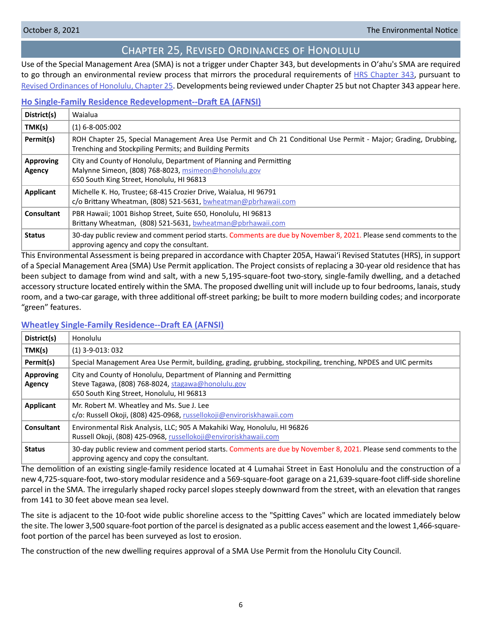# Chapter 25, Revised Ordinances of Honolulu

<span id="page-5-0"></span>Use of the Special Management Area (SMA) is not a trigger under Chapter 343, but developments in Oʻahu's SMA are required to go through an environmental review process that mirrors the procedural requirements of [HRS Chapter 343](https://www.capitol.hawaii.gov/hrscurrent/Vol06_Ch0321-0344/HRS0343/HRS_0343-.htm), pursuant to [Revised Ordinances of Honolulu, Chapter 25.](https://www.honolulu.gov/rep/site/ocs/roh/ROH_Chapter_25_article_1_12.pdf) Developments being reviewed under Chapter 25 but not Chapter 343 appear here.

# **[Ho Single-Family Residence Redevelopment--Draft EA \(AFNSI\)](http://oeqc2.doh.hawaii.gov/Other_TEN_Publications/2021-10-08-OA-Chapter-25-DEA-Ho-Single-Family-Residence-Redevelopment.pdf)**

| District(s)                | Waialua                                                                                                                                                                    |
|----------------------------|----------------------------------------------------------------------------------------------------------------------------------------------------------------------------|
| TMK(s)                     | $(1) 6 - 8 - 005:002$                                                                                                                                                      |
| Permit(s)                  | ROH Chapter 25, Special Management Area Use Permit and Ch 21 Conditional Use Permit - Major; Grading, Drubbing,<br>Trenching and Stockpiling Permits; and Building Permits |
| <b>Approving</b><br>Agency | City and County of Honolulu, Department of Planning and Permitting<br>Malynne Simeon, (808) 768-8023, msimeon@honolulu.gov<br>650 South King Street, Honolulu, HI 96813    |
| Applicant                  | Michelle K. Ho, Trustee; 68-415 Crozier Drive, Waialua, HI 96791<br>c/o Brittany Wheatman, (808) 521-5631, bwheatman@pbrhawaii.com                                         |
| <b>Consultant</b>          | PBR Hawaii; 1001 Bishop Street, Suite 650, Honolulu, HI 96813<br>Brittany Wheatman, (808) 521-5631, bwheatman@pbrhawaii.com                                                |
| <b>Status</b>              | 30-day public review and comment period starts. Comments are due by November 8, 2021. Please send comments to the<br>approving agency and copy the consultant.             |

This Environmental Assessment is being prepared in accordance with Chapter 205A, Hawai'i Revised Statutes (HRS), in support of a Special Management Area (SMA) Use Permit application. The Project consists of replacing a 30-year old residence that has been subject to damage from wind and salt, with a new 5,195-square-foot two-story, single-family dwelling, and a detached accessory structure located entirely within the SMA. The proposed dwelling unit will include up to four bedrooms, lanais, study room, and a two-car garage, with three additional off-street parking; be built to more modern building codes; and incorporate "green" features.

# **[Wheatley Single-Family Residence--Draft EA \(AFNSI\)](http://oeqc2.doh.hawaii.gov/Other_TEN_Publications/2021-10-08-OA-Chapter-25-DEA-Wheatley-Single-Family-Residence.pdf)**

| District(s)                | Honolulu                                                                                                                                                              |
|----------------------------|-----------------------------------------------------------------------------------------------------------------------------------------------------------------------|
| TMK(s)                     | $(1)$ 3-9-013: 032                                                                                                                                                    |
| Permit(s)                  | Special Management Area Use Permit, building, grading, grubbing, stockpiling, trenching, NPDES and UIC permits                                                        |
| <b>Approving</b><br>Agency | City and County of Honolulu, Department of Planning and Permitting<br>Steve Tagawa, (808) 768-8024, stagawa@honolulu.gov<br>650 South King Street, Honolulu, HI 96813 |
| Applicant                  | Mr. Robert M. Wheatley and Ms. Sue J. Lee<br>c/o: Russell Okoji, (808) 425-0968, russellokoji@enviroriskhawaii.com                                                    |
| Consultant                 | Environmental Risk Analysis, LLC; 905 A Makahiki Way, Honolulu, HI 96826<br>Russell Okoji, (808) 425-0968, russellokoji@enviroriskhawaii.com                          |
| <b>Status</b>              | 30-day public review and comment period starts. Comments are due by November 8, 2021. Please send comments to the<br>approving agency and copy the consultant.        |

The demolition of an existing single-family residence located at 4 Lumahai Street in East Honolulu and the construction of a new 4,725-square-foot, two-story modular residence and a 569-square-foot garage on a 21,639-square-foot cliff-side shoreline parcel in the SMA. The irregularly shaped rocky parcel slopes steeply downward from the street, with an elevation that ranges from 141 to 30 feet above mean sea level.

The site is adjacent to the 10-foot wide public shoreline access to the "Spitting Caves" which are located immediately below the site. The lower 3,500 square-foot portion of the parcel is designated as a public access easement and the lowest 1,466-squarefoot portion of the parcel has been surveyed as lost to erosion.

The construction of the new dwelling requires approval of a SMA Use Permit from the Honolulu City Council.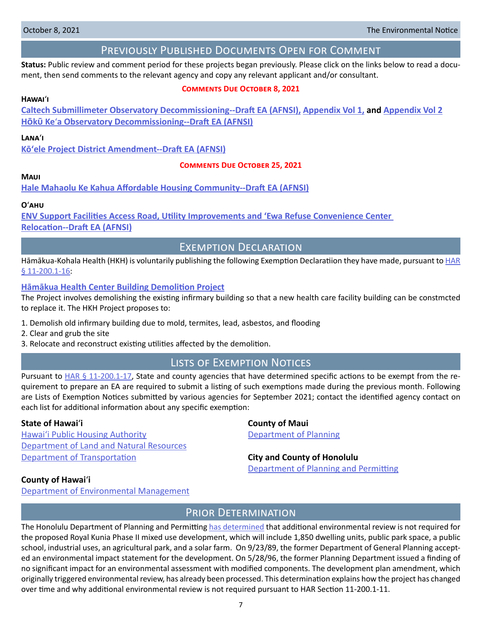# Previously Published Documents Open for Comment

<span id="page-6-0"></span>**Status:** Public review and comment period for these projects began previously. Please click on the links below to read a document, then send comments to the relevant agency and copy any relevant applicant and/or consultant.

# **Comments Due October 8, 2021**

### **Hawai**ʻ**i**

**[Caltech Submillimeter Observatory Decommissioning--Draft EA \(AFNSI\),](http://oeqc2.doh.hawaii.gov/Doc_Library/2021-09-08-HA-DEA-Caltech-Submillimeter-Observatory-Decommissioning.pdf) [Appendix Vol 1,](http://oeqc2.doh.hawaii.gov/Doc_Library/2021-09-08-HA-DEA-Caltech-Submillimeter-Observatory-Decommissioning-Appendix-Vol-1.pdf) and [Appendix Vol 2](http://oeqc2.doh.hawaii.gov/Doc_Library/2021-09-08-HA-DEA-Caltech-Submillimeter-Observatory-Decommissioning-Appendix-Vol-2.pdf) H�k� Ke**ʻ**[a Observatory Decommissioning--Draft EA \(AFNSI\)](http://oeqc2.doh.hawaii.gov/Doc_Library/2021-09-08-HA-DEA-Hoku-Kea-Observatory-Decommissioning.pdf)**

# **Lana**ʻ**i**

**[Kōʻele Project District Amendment--Draft EA \(AFNSI\)](http://oeqc2.doh.hawaii.gov/Doc_Library/2021-09-08-LA-DEA-Koele-Project-District-Amendment.pdf)**

### **Comments Due October 25, 2021**

# **Maui**

**[Hale Mahaolu Ke Kahua Affordable Housing Community--Draft EA \(AFNSI\)](http://oeqc2.doh.hawaii.gov/Doc_Library/2021-09-23-MA-DEA-Hale-Mahaolu-Ke-Kahua-Affordable-Housing-Community.pdf)**

### **O**ʻ**ahu**

**[ENV Support Facilities Access Road, Utility Improvements and 'Ewa Refuse Convenience Center](http://oeqc2.doh.hawaii.gov/Doc_Library/2021-09-23-OA-DEA-ENV-Support-Facilities-Access-Road-Utility-Improvements-Ewa-Refuse-Center-Relocation.pdf)  [Relocation-](http://oeqc2.doh.hawaii.gov/Doc_Library/2021-09-23-OA-DEA-ENV-Support-Facilities-Access-Road-Utility-Improvements-Ewa-Refuse-Center-Relocation.pdf)-Draft EA (AFNSI)**

Exemption Declaration

Hāmākua-Kohala Health (HKH) is voluntarily publishing the following Exemption Declaratiion they have made, pursuant to [HAR](https://health.hawaii.gov/opppd/files/2019/08/11-200.1.pdf) [§ 11-200.1-16](https://health.hawaii.gov/opppd/files/2019/08/11-200.1.pdf):

## **[Hāmākua Health Center Building Demolition Project](http://oeqc2.doh.hawaii.gov/Other_TEN_Publications/2021-10-08-HA-Exemption-Hamakua-Kohala-Health-Hamakua-Health-Center-Demolition.pdf)**

The Project involves demolishing the existing infirmary building so that a new health care facility building can be constmcted to replace it. The HKH Project proposes to:

- 1. Demolish old infirmary building due to mold, termites, lead, asbestos, and flooding
- 2. Clear and grub the site
- 3. Relocate and reconstruct existing utilities affected by the demolition.

# Lists of Exemption Notices

Pursuant to  $HAR \frac{6}{9}$  11-200.1-17, State and county agencies that have determined specific actions to be exempt from the requirement to prepare an EA are required to submit a listing of such exemptions made during the previous month. Following are Lists of Exemption Notices submitted by various agencies for September 2021; contact the identified agency contact on each list for additional information about any specific exemption:

### **State of Hawai**ʻ**i County of Maui**

Hawai'i Public Housing Authority **Department of Planning** [Department of Land and Natural Resources](http://oeqc2.doh.hawaii.gov/List_Ex_Notice/2021-10-08-SOH-DLNR-List-of-Exemptions-Sep-2021.pdf) **[Department of Transportation](http://oeqc2.doh.hawaii.gov/List_Ex_Notice/2021-10-08-SOH-DOT-List-of-Exemptions-Sep-2021.pdf) City and County of Honolulu** 

[Department of Planning](http://oeqc2.doh.hawaii.gov/List_Ex_Notice/2021-10-08-CCH-DPP-List-of-Exemptions-Sep-2021.pdf) and Permitting

### **County of Hawai**ʻ**i**

[Department of Environmental Management](http://oeqc2.doh.hawaii.gov/List_Ex_Notice/2021-10-08-COH-DEM-List-of-Exemptions-Sep-2021.pdf)

# PRIOR DETERMINATION

The Honolulu Department of Planning and Permitting [has determined](http://oeqc2.doh.hawaii.gov/Other_TEN_Publications/2021-10-08-OA-Prior-Determination-CCH-DPP-Royal-Kunia-Phase-II.pdf) that additional environmental review is not required for the proposed Royal Kunia Phase II mixed use development, which will include 1,850 dwelling units, public park space, a public school, industrial uses, an agricultural park, and a solar farm. On 9/23/89, the former Department of General Planning accepted an environmental impact statement for the development. On 5/28/96, the former Planning Department issued a finding of no significant impact for an environmental assessment with modified components. The development plan amendment, which originally triggered environmental review, has already been processed. This determination explains how the project has changed over time and why additional environmental review is not required pursuant to HAR Section 11-200.1-11.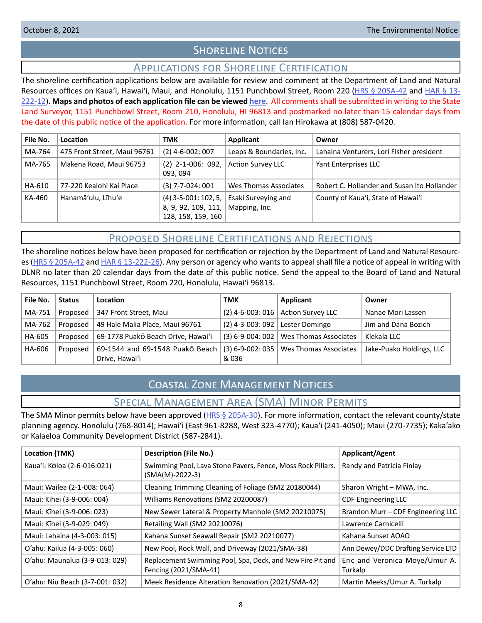# **SHORELINE NOTICES**

# Applications for Shoreline Certification

<span id="page-7-0"></span>The shoreline certification applications below are available for review and comment at the Department of Land and Natural Resources offices on Kaua'i, Hawai'i, Maui, and Honolulu, 1151 Punchbowl Street, Room 220 ([HRS § 205A-42](https://www.capitol.hawaii.gov/hrscurrent/Vol04_Ch0201-0257/HRS0205A/HRS_0205A-0042.htm) and [HAR § 13-](https://dlnr.hawaii.gov/ld/files/2013/07/Ch13-222-Amend-Compil-Stand-Rev1.pdf) [222-12](https://dlnr.hawaii.gov/ld/files/2013/07/Ch13-222-Amend-Compil-Stand-Rev1.pdf)). **Maps and photos of each application file can be viewed [here](https://ags.hawaii.gov/survey/shoreline/#apps)**. All comments shall be submitted in writing to the State Land Surveyor, 1151 Punchbowl Street, Room 210, Honolulu, HI 96813 and postmarked no later than 15 calendar days from the date of this public notice of the application. For more information, call Ian Hirokawa at (808) 587-0420.

| File No. | Location                     | <b>TMK</b>                                                          | Applicant                            | Owner                                       |
|----------|------------------------------|---------------------------------------------------------------------|--------------------------------------|---------------------------------------------|
| MA-764   | 475 Front Street, Maui 96761 | $(2)$ 4-6-002: 007                                                  | Leaps & Boundaries, Inc.             | Lahaina Venturers, Lori Fisher president    |
| MA-765   | Makena Road, Maui 96753      | $(2)$ 2-1-006: 092,<br>093, 094                                     | <b>Action Survey LLC</b>             | Yant Enterprises LLC                        |
| HA-610   | 77-220 Kealohi Kai Place     | $(3)$ 7-7-024: 001                                                  | Wes Thomas Associates                | Robert C. Hollander and Susan Ito Hollander |
| KA-460   | Hanamā'ulu, Līhu'e           | $(4)$ 3-5-001: 102, 5,<br>8, 9, 92, 109, 111,<br>128, 158, 159, 160 | Esaki Surveying and<br>Mapping, Inc. | County of Kaua'i, State of Hawai'i          |

# Proposed Shoreline Certifications and Rejections

The shoreline notices below have been proposed for certification or rejection by the Department of Land and Natural Resourc-es [\(HRS § 205A-42](http://HRS § 205A-42) and [HAR § 13-222-26\)](https://dlnr.hawaii.gov/ld/files/2013/07/Ch13-222-Amend-Compil-Stand-Rev1.pdf). Any person or agency who wants to appeal shall file a notice of appeal in writing with DLNR no later than 20 calendar days from the date of this public notice. Send the appeal to the Board of Land and Natural Resources, 1151 Punchbowl Street, Room 220, Honolulu, Hawai'i 96813.

| File No. | <b>Status</b> | Location                           | <b>TMK</b>                          | Applicant                                  | Owner                    |
|----------|---------------|------------------------------------|-------------------------------------|--------------------------------------------|--------------------------|
| MA-751   | Proposed      | 347 Front Street, Maui             |                                     | $(2)$ 4-6-003: 016   Action Survey LLC     | Nanae Mori Lassen        |
| MA-762   | Proposed      | 49 Hale Malia Place, Maui 96761    | $(2)$ 4-3-003: 092   Lester Domingo |                                            | Jim and Dana Bozich      |
| HA-605   | Proposed      | 69-1778 Puakō Beach Drive, Hawai'i |                                     | $(3)$ 6-9-004: 002   Wes Thomas Associates | Klekala LLC              |
| HA-606   | Proposed      | 69-1544 and 69-1548 Puakō Beach    |                                     | (3) 6-9-002: 035   Wes Thomas Associates   | Jake-Puako Holdings, LLC |
|          |               | Drive, Hawai'i                     | & 036                               |                                            |                          |

# Coastal Zone Management Notices

Special Management Area (SMA) Minor Permits

The SMA Minor permits below have been approved ([HRS § 205A-30](https://www.capitol.hawaii.gov/hrscurrent/Vol04_Ch0201-0257/HRS0205A/HRS_0205A-0030.htm)). For more information, contact the relevant county/state planning agency. Honolulu (768-8014); Hawaiʻi (East 961-8288, West 323-4770); Kauaʻi (241-4050); Maui (270-7735); Kakaʻako or Kalaeloa Community Development District (587-2841).

| Location (TMK)                  | <b>Description (File No.)</b>                                                       | Applicant/Agent                           |
|---------------------------------|-------------------------------------------------------------------------------------|-------------------------------------------|
| Kaua'i: Kōloa (2-6-016:021)     | Swimming Pool, Lava Stone Pavers, Fence, Moss Rock Pillars.<br>$(SMA(M)-2022-3)$    | Randy and Patricia Finlay                 |
| Maui: Wailea (2-1-008: 064)     | Cleaning Trimming Cleaning of Foliage (SM2 20180044)                                | Sharon Wright - MWA, Inc.                 |
| Maui: Kīhei (3-9-006: 004)      | Williams Renovations (SM2 20200087)                                                 | <b>CDF Engineering LLC</b>                |
| Maui: Kīhei (3-9-006: 023)      | New Sewer Lateral & Property Manhole (SM2 20210075)                                 | Brandon Murr-CDF Engineering LLC          |
| Maui: Kīhei (3-9-029: 049)      | Retailing Wall (SM2 20210076)                                                       | Lawrence Carnicelli                       |
| Maui: Lahaina (4-3-003: 015)    | Kahana Sunset Seawall Repair (SM2 20210077)                                         | Kahana Sunset AOAO                        |
| O'ahu: Kailua (4-3-005: 060)    | New Pool, Rock Wall, and Driveway (2021/SMA-38)                                     | Ann Dewey/DDC Drafting Service LTD        |
| O'ahu: Maunalua (3-9-013: 029)  | Replacement Swimming Pool, Spa, Deck, and New Fire Pit and<br>Fencing (2021/SMA-41) | Eric and Veronica Moye/Umur A.<br>Turkalp |
| O'ahu: Niu Beach (3-7-001: 032) | Meek Residence Alteration Renovation (2021/SMA-42)                                  | Martin Meeks/Umur A. Turkalp              |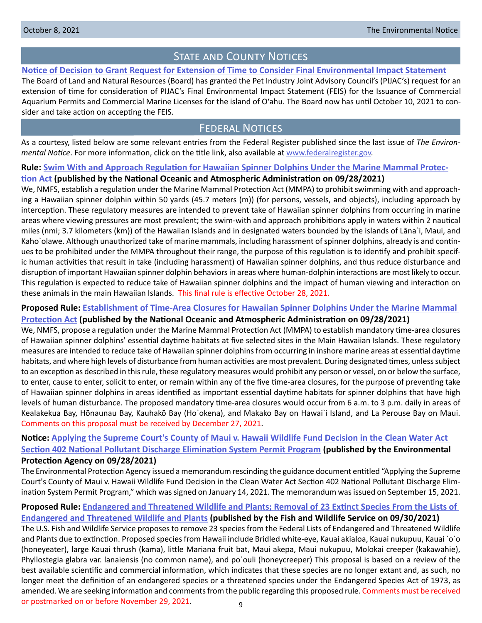# STATE AND COUNTY NOTICES

# <span id="page-8-0"></span>**[Notice of Decision to Grant Request for Extension of Time to Consider Final Environmental Impact Statement](http://oeqc2.doh.hawaii.gov/Other_TEN_Publications/2021-10-08-OA-BLNR-Time-Extension-to-consider-PIJAC-FEIS.pdf)**

The Board of Land and Natural Resources (Board) has granted the Pet Industry Joint Advisory Council's (PIJAC's) request for an extension of time for consideration of PIJAC's Final Environmental Impact Statement (FEIS) for the Issuance of Commercial Aquarium Permits and Commercial Marine Licenses for the island of O'ahu. The Board now has until October 10, 2021 to consider and take action on accepting the FEIS.

# Federal Notices

As a courtesy, listed below are some relevant entries from the Federal Register published since the last issue of *The Environmental Notice*. For more information, click on the title link, also available at [www.federalregister.gov](http://www.federalregister.gov).

**Rule: [Swim With and Approach Regulation for Hawaiian Spinner Dolphins Under the Marine Mammal Protec-](https://www.federalregister.gov/documents/2021/09/28/2021-20616/swim-with-and-approach-regulation-for-hawaiian-spinner-dolphins-under-the-marine-mammal-protection)**

### **[tion Act](https://www.federalregister.gov/documents/2021/09/28/2021-20616/swim-with-and-approach-regulation-for-hawaiian-spinner-dolphins-under-the-marine-mammal-protection) (published by the National Oceanic and Atmospheric Administration on 09/28/2021)**

We, NMFS, establish a regulation under the Marine Mammal Protection Act (MMPA) to prohibit swimming with and approaching a Hawaiian spinner dolphin within 50 yards (45.7 meters (m)) (for persons, vessels, and objects), including approach by interception. These regulatory measures are intended to prevent take of Hawaiian spinner dolphins from occurring in marine areas where viewing pressures are most prevalent; the swim-with and approach prohibitions apply in waters within 2 nautical miles (nmi; 3.7 kilometers (km)) of the Hawaiian Islands and in designated waters bounded by the islands of Lāna`i, Maui, and Kaho`olawe. Although unauthorized take of marine mammals, including harassment of spinner dolphins, already is and continues to be prohibited under the MMPA throughout their range, the purpose of this regulation is to identify and prohibit specific human activities that result in take (including harassment) of Hawaiian spinner dolphins, and thus reduce disturbance and disruption of important Hawaiian spinner dolphin behaviors in areas where human-dolphin interactions are most likely to occur. This regulation is expected to reduce take of Hawaiian spinner dolphins and the impact of human viewing and interaction on these animals in the main Hawaiian Islands. This final rule is effective October 28, 2021.

# **Proposed Rule: [Establishment of Time-Area Closures for Hawaiian Spinner Dolphins Under the Marine Mammal](https://www.federalregister.gov/documents/2021/09/28/2021-20620/establishment-of-time-area-closures-for-hawaiian-spinner-dolphins-under-the-marine-mammal-protection)  [Protection Act](https://www.federalregister.gov/documents/2021/09/28/2021-20620/establishment-of-time-area-closures-for-hawaiian-spinner-dolphins-under-the-marine-mammal-protection) (published by the National Oceanic and Atmospheric Administration on 09/28/2021)**

We, NMFS, propose a regulation under the Marine Mammal Protection Act (MMPA) to establish mandatory time-area closures of Hawaiian spinner dolphins' essential daytime habitats at five selected sites in the Main Hawaiian Islands. These regulatory measures are intended to reduce take of Hawaiian spinner dolphins from occurring in inshore marine areas at essential daytime habitats, and where high levels of disturbance from human activities are most prevalent. During designated times, unless subject to an exception as described in this rule, these regulatory measures would prohibit any person or vessel, on or below the surface, to enter, cause to enter, solicit to enter, or remain within any of the five time-area closures, for the purpose of preventing take of Hawaiian spinner dolphins in areas identified as important essential daytime habitats for spinner dolphins that have high levels of human disturbance. The proposed mandatory time-area closures would occur from 6 a.m. to 3 p.m. daily in areas of Kealakekua Bay, Hōnaunau Bay, Kauhakō Bay (Ho`okena), and Makako Bay on Hawai`i Island, and La Perouse Bay on Maui. Comments on this proposal must be received by December 27, 2021.

# **Notice: [Applying the Supreme Court's County of Maui v. Hawaii Wildlife Fund Decision in the Clean Water Act](https://www.federalregister.gov/documents/2021/09/28/2021-20993/applying-the-supreme-courts-county-of-maui-v-hawaii-wildlife-fund-decision-in-the-clean-water-act)  [Section 402 National Pollutant Discharge Elimination System Permit Program](https://www.federalregister.gov/documents/2021/09/28/2021-20993/applying-the-supreme-courts-county-of-maui-v-hawaii-wildlife-fund-decision-in-the-clean-water-act) (published by the Environmental Protection Agency on 09/28/2021)**

The Environmental Protection Agency issued a memorandum rescinding the guidance document entitled "Applying the Supreme Court's County of Maui v. Hawaii Wildlife Fund Decision in the Clean Water Act Section 402 National Pollutant Discharge Elimination System Permit Program," which was signed on January 14, 2021. The memorandum was issued on September 15, 2021.

# **Proposed Rule: [Endangered and Threatened Wildlife and Plants; Removal of 23 Extinct Species From the Lists of](https://www.federalregister.gov/documents/2021/09/30/2021-21219/endangered-and-threatened-wildlife-and-plants-removal-of-23-extinct-species-from-the-lists-of)**

**[Endangered and Threatened Wildlife and Plants](https://www.federalregister.gov/documents/2021/09/30/2021-21219/endangered-and-threatened-wildlife-and-plants-removal-of-23-extinct-species-from-the-lists-of) (published by the Fish and Wildlife Service on 09/30/2021)** The U.S. Fish and Wildlife Service proposes to remove 23 species from the Federal Lists of Endangered and Threatened Wildlife and Plants due to extinction. Proposed species from Hawaii include Bridled white-eye, Kauai akialoa, Kauai nukupuu, Kauai `o`o (honeyeater), large Kauai thrush (kama), little Mariana fruit bat, Maui akepa, Maui nukupuu, Molokai creeper (kakawahie), Phyllostegia glabra var. lanaiensis (no common name), and po`ouli (honeycreeper) This proposal is based on a review of the best available scientific and commercial information, which indicates that these species are no longer extant and, as such, no longer meet the definition of an endangered species or a threatened species under the Endangered Species Act of 1973, as amended. We are seeking information and comments from the public regarding this proposed rule. Comments must be received or postmarked on or before November 29, 2021.